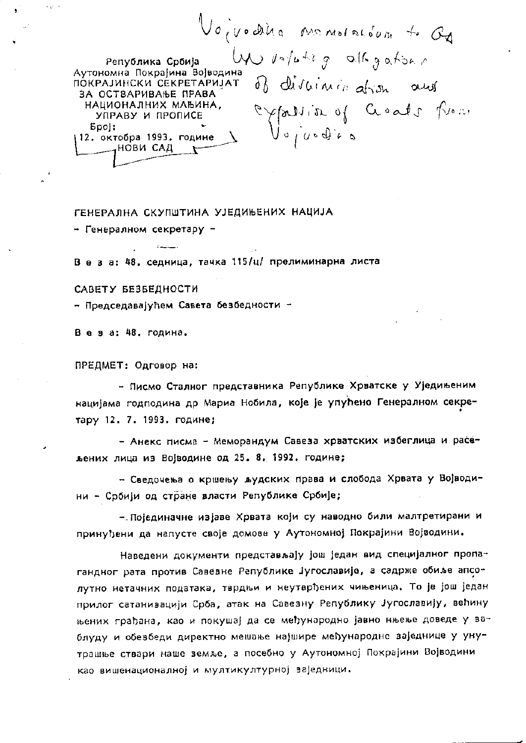Voivodina monoration + Q Un votating allogators Република Србија Аутономна Покрајина Војводина ПОКРАЈИНСКИ СЕКРЕТАРИЈАТ ЗА ОСТВАРИВАЊЕ ПРАВА partition of Goods from НАЦИОНАЛНИХ МАЊИНА, УПРАВУ И ПРОПИСЕ  $5p0$ : 12. октобра 1993. године \_\_нови сад  $\mathbf{r}$ 

## ГЕНЕРАЛНА СКУПШТИНА УЈЕДИЊЕНИХ НАЦИЈА

- Генералном секретару -

 $\Delta$  and  $\Delta$  and  $\Delta$ 

В е з а: 48, седница, тачка 115/ц/ прелиминарна листа

САВЕТУ БЕЗБЕДНОСТИ

- Председавајућем Савета безбедности -

Веза: 48. година.

ПРЕДМЕТ: Одговор на:

- Писмо Сталног представника Републике Хрватске у Уједињеним нацијама годподина др Мариа Нобила, које је упућено Генералном секретару 12. 7. 1993. године;

- Анекс писма - Меморандум Савеза хрватских избеглица и расељених лица из Војводине од 25.8.1992. године;

- Сведочења о кршењу људских права и слобода Хрвата у Војводини - Србији од стране власти Републике Србије;

- Појединачне изјаве Хрвата који су наводно били малтретирани и принуђени да напусте своје домове у Аутономној Покрајини Војводини.

Наведени документи представљају још један вид специјалног пропагандног рата против Савевне Републике Југославије, а садрже обиље апсолутно нетачних података, тврдњи и неутврђених чињеница. То је још један прилог сатанизацији Срба, атак на Савезну Републику Југославију, већину њених грађана, као и покушај да се међународно јавно нњење доведе у заблуду и обезбеди директно мешање најшире међународне заједнице у унутрашње ствари наше земље, а посебно у Аутономној Покрајини Војводини као вишенационалној и мултикултурној заједници.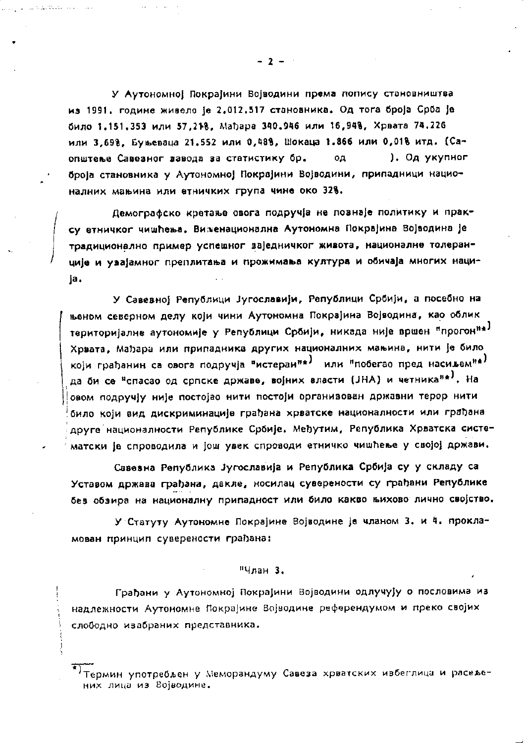У Аутономної Покраїини Војводини према попису становништва из 1991. године живело је 2.012.517 становника. Од тога броја Срба је било 1,151,353 или 57,218, Мађара 340,946 или 16,948, Хрвата 74.226 или 3,69%, Буњеваца 21,552 или 0,48%, Шокаца 1.866 или 0,01% итд. (Са-). Од укупног општење Савезног вавода за статистику бр. од броја становника у Аутономној Покрајини Војводини, припадници националних мањина или етничких група чине око 328.

Демографско кретање овога подручја не познаје политику и праксу етничког чишћења. Виженационална Аутономна Покрајина Војводина је традиционално пример успешног заједничког живота, националне толеранције и увајамног преплитања и прожимања култура и обичаја многих нациja,

У Савевној Републици Југославији, Републици Србији, а посебно на њеном северном делу који чини Аутономна Покрајина Војводина, као облик територијалне аутономије у Републици Србији, никада није вршен "прогон"<sup>а)</sup> Хрвата, Мађара или припадника других националних мањина, нити је било који грађанин са овога подручја "истеран"\*) или "побегао пред насиљем"\*) да би се <sup>в</sup>спасао од српске државе, војних власти (JHA) и четника<sup>на)</sup>. На овом подручју није постојао нити постоји органивован државни терор нити било који вид дискриминације грађана хрватске националности или грађана друге националности Републике Србије, Међутим, Република Хрватска систематски је спроводила и још увек спроводи етничко чишћење у својој држави.

Савевна Република Југославија и Република Србија су у складу са Уставом држава грађана, дакле, носилац суверености су грађани Републике без обзира на националну припадност или било какво њихово лично својство.

У Статуту Аутономне Покрајине Војводине је чланом 3. и 4. прокламован принцип суверености грађана:

## "Члан 3.

Грађани у Аутономној Покрајини Војводини одлучују о пословима из надлежности Аутономне Покрајине Војводине референдумом и преко својих слободно изабраних представника.

Термин употребљен у Меморандуму Савеза хрватских избеглица и расељених лица из Војводине.

 $-2-$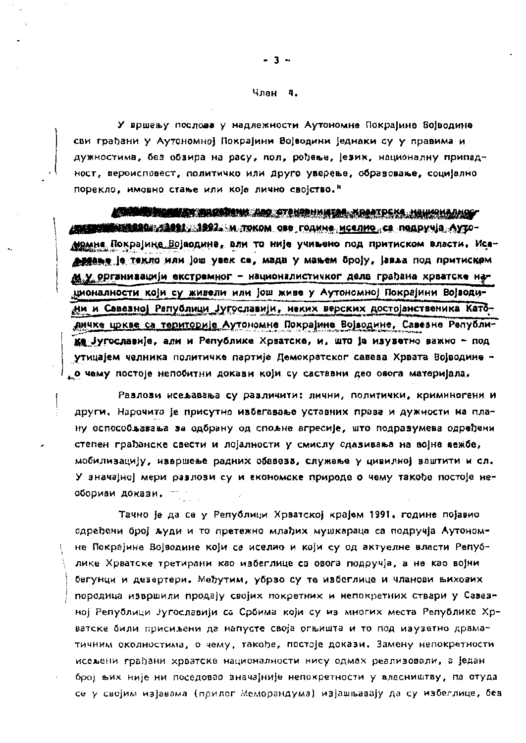## Члан 4.

У вршењу послова у надлежности Аутономне Покрајине Војводине сви грађани у Аутономној Покрајини Војводини једнаки су у правима и дужностима, без обзира на расу, пол, рођење, језик, националну припадност, вероисповест, политичко или друго уверење, образовање, социјално порекло, имовно стање или које лично својство."

**ATAN BERKAMA AK AKSAS DAN ABS STRKSBHANTAR KRAATDEKA HRUKRHAAHOG** <u>ден траниция в по узвели стават и током ове године, иселио, се подручја, Ауто-</u> момна Покрајине Војводине, али то није учињено под притиском власти. Исе-<u>АЗАВЬЕ је текло или ј</u>ош увек се, мада у мањем броју, јавља под притиском м у организацији екстремног - националистичког дела грађана хрватске нашионалности који су живели или још живе у Аутономној Покрајини Војводини и Савезној Републици Југославији, неких верских достојанственика Католичке цркве са територије Аутономне Покрајине Војводине, Савезне Републике југославије, али и Републике Хрватске, и, што је изуветно важно - под утицајем челника политичке партије Демократског савева Хрвата Војводине -<sub>к</sub>о чему постоје непобитни докази који су саставни део овога материјала.

Разлови исељавања су различити: лични, политички, криминогени и други, Нарочито је присутно ивбегавање уставних права и дужности на плану оспособљавања за одбрану од спољне агресије, што подравумева одређени степен грађанске свести и лојалности у смислу одавивања на војне вежбе, мобилизацију, извршење радних обавеза, служење у цивилној ваштити и сл. У значајној мери разлози су и економске природе о чему такође постоје необориви докази.

Тачно је да се у Републици Хрватској крајем 1991. године појавио одређени број људи и то претежно млађих мушкараца са подручја Аутономне Покрајине Војводине који се иселио и који су од актуелне власти Републике Хрватске третирани као избеглице са овога подручја, а не као војни бегунци и дезертери. Међутим, убрзо су те избеглице и чланови њихових породица извршили продају својих покретних и непокретних ствари у Савезној Републици Југославији са Србима који су из многих места Републике Хр~ ватске били присиљени да напусте своја огњишта и то под изузетно драматичним околностима, о чему, такође, постоје докази. Замену непокретности исељени грађани хрватске националности нису одмах реализовали, а један број њих није ни поседовао значајније непокретности у власништву, па отуда се у својим изјавама (прилог Меморандума) изјашњавају да су избеглице, без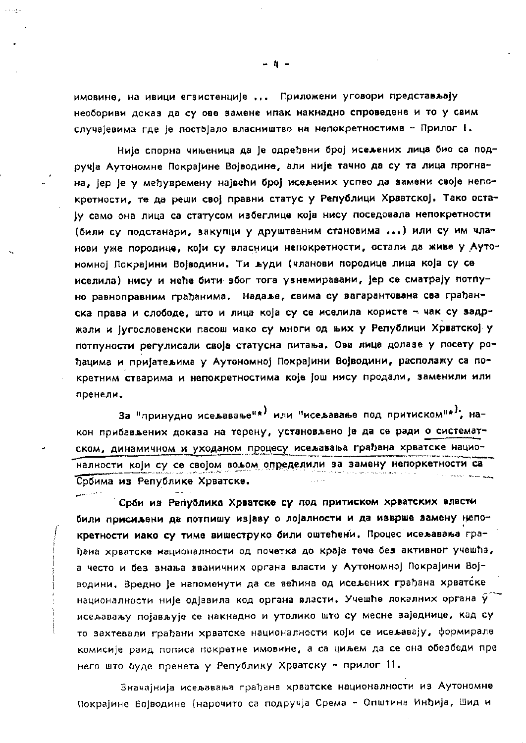имовине, на ивици егзистенције ... Приложени уговори представљају необориви доказ да су ове замене ипак накнадно спроведене и то у свим случајевима где је постојало власништво на непокретностима - Прилог I.

Није спорна чињеница да је одређени број исељених лица био са подручја Аутономне Покрајине Војводине, али није тачно да су та лица прогнана, јер је у међувремену највећи број исељених успео да замени своје непокретности, те да реши свој правни статус у Републици Хрватској. Тако остају само она лица са статусом избеглице која нису поседовала непокретности (били су подстанари, закупци у друштвеним становима ...) или су им чланови уже породице, који су власници непокретности, остали да живе у Аутономној Покрајини Војводини. Ти људи (чланови породице лица која су се иселила) нису и неће бити због тога увнемиравани, јер се сматрају потпуно равноправним грађанима. Надаље, свима су вагарантована сва грађанска права и слободе, што и лица која су се иселила користе - чак су задржали и југословенски пасош иако су многи од њих у Републици Хрватској у потпуности регулисали своја статусна питања. Ова лица долазе у посету рођацима и пријатељима у Аутономној Покрајини Војводини, располажу са покретним стварима и непокретностима које још нису продали, заменили или пренели.

За "принудно исељавање<sup>и\*)</sup> или "исељавање под притиском"\*<sup>}</sup>, након прибављених доказа на терену, установљено је да се ради о систематском, динамичном и уходаном процесу исељавања грађана хрватске националности који су се својом вољом определили за замену непоркетности са n in seeks brass and Србима из Републике Хрватске.

Срби из Републике Хрватске су под притиском хрватских власти били присиљени да потпишу изјаву о лојалности и да изврше замену непокретности иако су тиме вишеструко били оштећени. Процес исељавања грађана хрватске националности од почетка до краја тече без активног учешћа, а често и без знања вваничних органа власти у Аутономној Покрајини Војводини. Вредно је напоменути да се већина од исељених грађана хрватске националности није одјавила код органа власти. Учешће локалних органа  $\widetilde{y}$ исељавању појављује се накнадно и утолико што су месне ваједнице, кад су то вахтевали грађани хрватске националности који се исељавају, формирале комисије раид пописа покретне имовине, а са циљем да се она обезбеди пре него што буде пренета у Републику Хрватску - прилог 11.

Значајнија исељавања грађана хрватске националности из Аутономне Покрајине Војводине (нарочито са подручја Срема - Општина Инђија, Шид и

- 4 -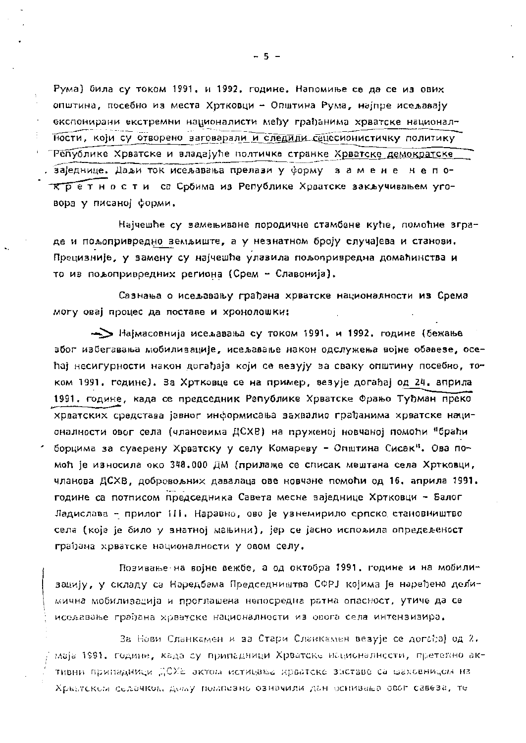Рума) била су током 1991. и 1992. године. Напомиње се да се из ових општина, посебно из места Хртковци - Општина Рума, најпре исељавају експонирани екстремни националисти међу грађанима хрватске националности, који су отворено заговарали и следили сецесионистичку политику ТРепублике Хрватске и владајуће полтичке странке Хрватске демократске я заједнице. Даљи ток исељавања прелази у форму замене непо-Кретности са Србима из Републике Хрватске закључивањем уговора у писаној форми.

Најчешће су замењиване породичне стамбене куће, помоћне зграде и пољопривредно земљиште, а у незнатном броју случајева и станови. Прецизније, у замену су најчешће улазила пољопривредна домаћинства и то из пољопривредних региона (Срем - Славонија).

Сазнања о исељавању грађана хрватске националности из Срема могу овај процес да поставе и хронолошки:

-> Најмасовнија исељавања су током 1991. и 1992. године (бежање због избегавања мобилизације, исељавање након одслужења војне обавезе, осећај несигурности након догађаја који се везују за сваку општину посебно, током 1991. године). За Хртковце се на пример, везује догађај од 24. априла 1991. године, када се председник Републике Хрватске Фрањо Туђман преко хрватских средстава јавног информисања захвалио грађанима хрватске националности овог села (члановима ДСХВ) на пруженој новчаној помоћи "браћи борцима за суверену Хрватску у селу Комареву - Општина Сисак". Ова помоћ је износила око 348.000 ДМ (прилаже се списак мештана села Хртковци, чланова ДСХВ, добровољних давалаца ове новчане помоћи од 16. априла 1991. године са потписом председника Савета месне заједнице Хртковци - Балог Ладислава - прилог III. Наравно, ово је узнемирило српско становништво села (које је било у знатној мањини), јер се јасно испољила опредељеност грађана хрватске националности у овом селу.

Позивање на војне вежбе, а од октобра 1991. године и на мобилизацију, у складу са Наредбама Председништва СФРЈ којима је наређена делимична мобилизација и проглашена непосредна ратна опасност, утиче да се иселавање грађана хрватске националности из овога села интензивира,

За Нови Сланкамен и за Стари Сланкамен везује се догађај од 2. маја 1991. године, када су припадници Хрватске националности, претехно активни припадници ДСХЕ актом истицања крватске знетаве са шаховницом на Хрватском селачком, дому помпезно означили дан оснивања овог савеза, те

 $-5 -$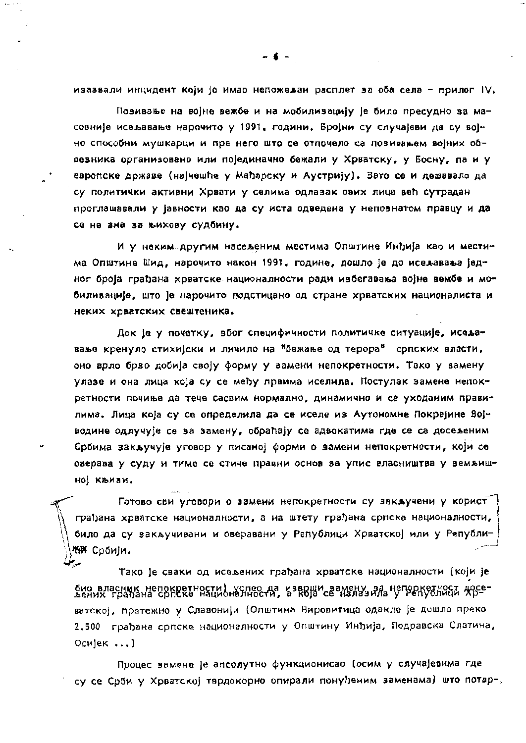изазвали инцидент који је имао непожељан расплет за оба села - прилог IV.

Позивање на војне вежбе и на мобилизацију је било пресудно за масовније исељавање нарочито у 1991. години. Бројни су случајеви да су војно способни мушкарци и пре него што се отпочело са повивањем војних обвезника организовано или појединачно бежали у Хрватску, у Босну, па и у европске државе (најчешће у Мађарску и Аустрију). Зато се и дешавало да су политички активни Хрвати у селима одлазак ових лица већ сутрадан проглашавали у јавности као да су иста одведена у непознатом правцу и да се не зна за њихову судбину.

И у неким другим насељеним местима Општине Инђија као и местима Општине Шид, нарочито након 1991. године, дошло је до исељавања једног броја грађана хрватске националности ради избегавања војне вежбе и мобиливације, што је нарочито подстицано од стране хрватских националиста и неких хрватских свештеника.

Док је у почетку, вбог специфичности политичке ситуације, исељавање кренуло стихијски и личило на <sup>н</sup>бежање од терора<sup>н</sup> српских власти, оно врло брзо добија своју форму у вамени непокретности. Тако у замену улазе и она лица која су се међу првима иселила. Поступак замене непокретности почиње да тече сасвим нормално, динамично и са уходаним правилима. Лица која су се определила да се иселе из Аутономне Покрајине Војводине одлучује се за замену, обраћају се адвокатима где се са досељеним Србима закључује уговор у писаној форми о вамени непокретности, који се оверава у суду и тиме се стиче правни основ ва упис власништва у земљишној књизи.

Готово сви уговори о замени непокретности су закључени у корист грађана хрватске националности, а на штету грађана српске националности, било да су закључивани и оверавани у Републици Хрватској или у Републи-ЖЖ Србији.

Тако је сваки од исељених грађана хрватске националности (који је био власник непокретности) успео да изврши замену за непоркузнист досеватској, претежно у Славонији (Општина Вировитица одакле је дошло преко 2.500 грађана српске националности у Општину Инђија, Подравска Слатина, Осијек ...)

Процес замене је апсолутно функционисао (осим у случајевима где су се Срби у Хрватској тврдокорно опирали понуђеним заменама) што потвр-,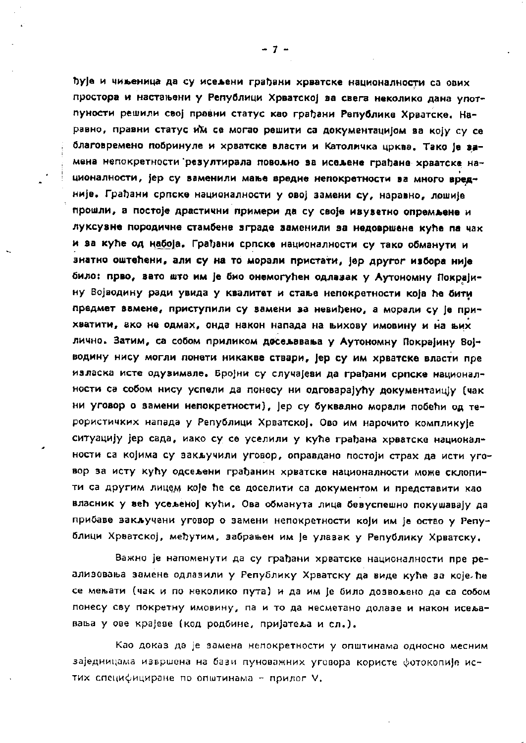ђује и чињеница да су исељени грађани хрватске националности са ових простора и настањени у Републици Хрватској ва свега неколико дана употпуности решили свој правни статус као грађани Републике Хрватске. Наравно, правни статус им се могао решити са документацијом ва коју су се благовремено побринуле и хрватске власти и Католичка црква. Тако је замена непокретности резултирала повољно за исељене грађане хрватске националности, јер су ваменили мање вредне непокретности ва много вредније. Грађани српске националности у овој замени су, наравно, лошије прошли, а постоје драстични примери да су своје ивуветно опремљене и луксузне породичне стамбене зграде заменили за недовршене куће па чак и за куће од набоја. Грађани српске националности су тако обманути и знатно оштећени, али су на то морали пристати, јер другог избора није било: прво, зато што им је био онемогућен одлазак у Аутономну Покрајину Војводину ради увида у квалитет и стање непокретности која ће бити предмет вамене, приступили су вамени за невиђено, а морали су је прихватити, ако не одмах, онда након напада на вихову имовину и на вих лично. Затим, са собом приликом досељавања у Аутономну Покрајину Војводину нису могли понети никакве ствари, јер су им хрватске власти пре изласка исте одузимале. Бројни су случајеви да грађани српске националности са собом нису успели да понесу ни одговарајућу документаицју (чак ни уговор о вамени непокретности), јер су буквално морали побећи од терористичких напада у Републици Хрватској. Ово им нарочито компликује ситуацију јер сада, иако су се уселили у куће грађана хрватске националности са којима су закључили уговор, оправдано постоји страх да исти уговор за исту кућу одсељени грађанин хрватске националности може склопити са другим лицем које ће се доселити са документом и представити као власник у већ усељеној кући. Ова обманута лица бевуспешно покушавају да прибаве закључени уговор о замени непокретности који им је остао у Републици Хрватској, међутим, забрањен им је улазак у Републику Хрватску.

Важно је напоменути да су грађани хрватске националности пре реализовања замене одлазили у Републику Хрватску да виде куће за којеле се мењати (чак и по неколико пута) и да им је било дозвољено да са собом понесу сву покретну имовину, па и то да несметано долазе и након исељавања у ове крајеве (код родбине, пријатеља и сл.).

Као доказ да је замена непокретности у општинама односно месним заједницама извршена на бази пуноважних уговора користе фотокопије истих специфициране по општинама - прилог V.

-7 -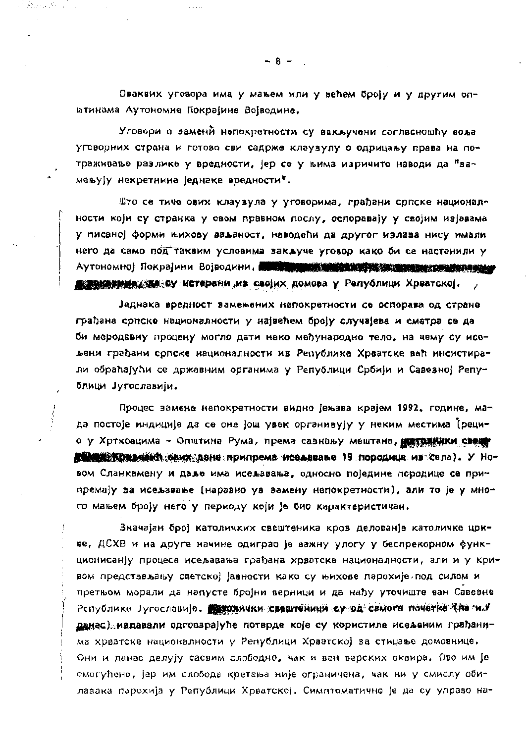Оваквих уговора има у мањем или у већем броју и у другим општинама Аутономне Покрајине Војводине.

Уговори о заменй непокретности су вакључени сагласношћу воља уговорних страна и готово сви садрже клаузулу о одрицању права на потраживање разлике у вредности, јер се у њима изричито наводи да "замењују некретнине једнаке вредности".

Што се тиче ових клаувула у уговорима, грађани српске националности који су странка у овом правном послу, оспоравају у својим изјавама у писаној форми њихову ваљаност, наводећи да другог излаза нису имали него да само под таквим условима закључе уговор како би се настанили у Аутономној Покрајини Војводини. Поти при примените и су свои применени и при  $\epsilon$ 

Једнака вредност замењених непокретности се оспорава од стране грађана српске националности у највећем броју случајева и сматра се да би меродавну процену могло дати неко међународно тело, на чему су исељени грађани српске националности из Републике Хрватске већ инсистирали обраћајући се државним органима у Републици Србији и Савезној Републици Југославији.

Процес замене непокретности видно јењава крајем 1992. године, мада постоје индиције да се оне још увек органивују у неким местима (рецио у Хртковцима - Општина Рума, према сазнању мештана, по толники свещу **на продукция по припрема и селавање 19 породица из села). У Но**вом Сланкамену и даље има исељавања, односно поједине породице се припремају за исељавање (наравно уз замену непокретности), али то је у много мањем броју него у периоду који је био карактеристичан.

Значајан број католичких свештеника кров делованје католичке цркве, ДСХВ и на друге начине одиграо је важну улогу у беспрекорном функционисанју процеса исељавања грађана хрватске националности, али и у кривом представљању светској јавности како су њихове парохије под силом и претњом морали да напусте бројни верници и да нађу уточиште ван Савевне Републике Југославије. **Дуродички свештеници су од самога почетка (па** м.б данас) ивдавали одговарајуће потврде које су користиле исељеним грађанима хрватске националности у Републици Хрватској за стицање домовнице. Они и данас делују сасвим слободно, чак и ван верских оквира. Ово им је омогућено, јер им слобода кретања није ограничена, чак ни у смислу обилазака парохија у Републици Хрватској. Симптоматично је да су управо на-

 $-8-$ 

aktarna dhe son anche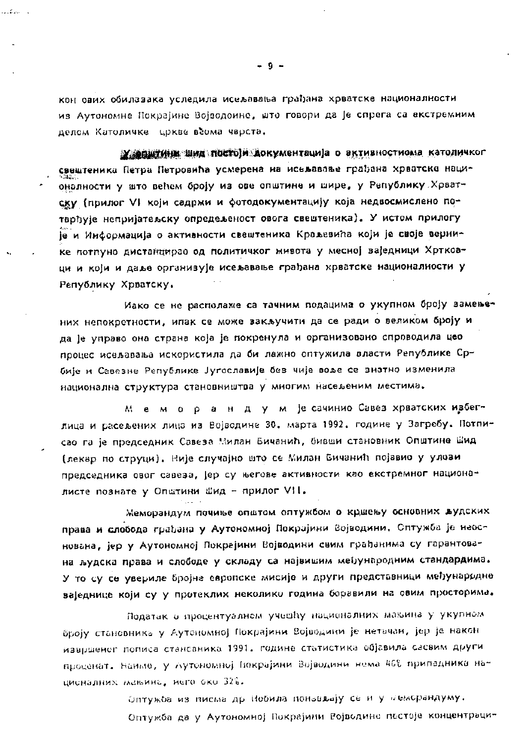кон ових обилазака уследила исељавања грађана хрватске националности из Аутономне Покрајине Војводоине, што говори да је спрега са екстремним делом Католичке цркве всома чврста,

**У Делики шид постоји Аокументација о вктивностиома католичког** свештеника Петра Петровића усмерена на исељавање грађана хрватска националности у што већем броју из ове општине и шире, у Републику Хрватску (прилог VI који садржи и фотодокументацију која недвосмислено потврђује непријатељску опредељеност овога свештеника). У истом прилогу је и Информација о активности свештеника Краљевића који је своје вернике потпуно дистанцирао од политичког живота у месној ваједници Хртковци и који и даље организује исељавање грађана хрватске националности у Републику Хрватску.

Иако се не располаже са тачним подацима о укупном броју замењених непокретности, ипак се може закључити да се ради о великом броју и да је управо она страна која је покренула и организовано спроводила цео процес исељавања искористила да би лажно оптужила власти Републике Србије и Савезне Републике Југославије без чије воље се знатно изменила национална структура становништва у многим насељеним местима.

м е м о р а н д у м је сачинио Савев хрватских ивбеглица и расељених лица из Војводине 30. марта 1992. године у Загребу. Потписао га је председник Савеза Милан Бичанић, бивши становник Општине Шид (лекар по струци). Није случајно што се Милан Бичанић појавио у улови председника овог савеза, јер су његове активности као екстремног националисте познате у Општини Шид - прилог VII.

Меморандум почиње општом оптужбом о кршењу основних жудских права и слобода грађана у Аутономној Покрајини Војводини. Сптужба је неоснована, јер у Аутономној Покрајини Војводини свим грађанима су гарантована људска права и слободе у складу са највишим међународним стандардима. У то су се увериле бројне европске мисије и други представници међународне ваједнице који су у протеклих неколико година боравили на овим просторима.

Податак в процентуалном учешћу националних мањина у укупном броју становника у Аутономној Покрајини Војводини је нетачан, јер је након извршеног пописа становника 1991. године статистика објавила сасвим други проценат. Наиме, у Лутономној (юкрајини Војводини нема 46% припадника националних мањина, него око 32%.

> Оптужба из писма др Нобила понављају се и у Мембрандуму. Оптужба да у Аутономној Покрајини Ројводине пестоје концентраци-

- 9 -

المتحدث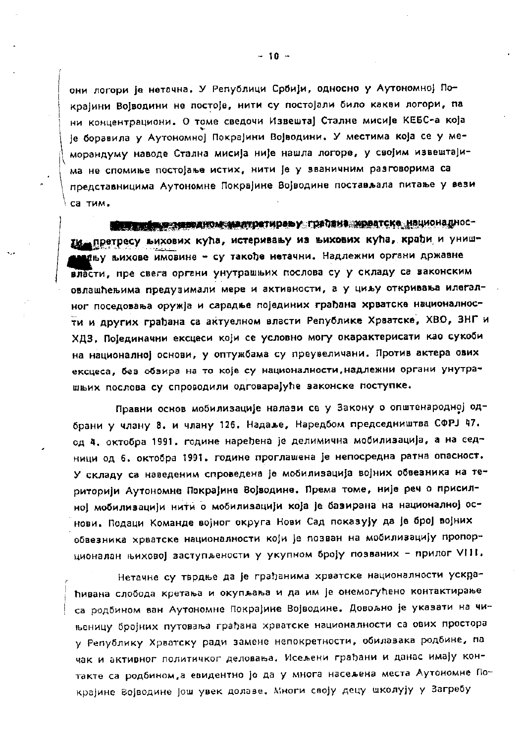они логори је нетачна. У Републици Србији, односно у Аутономној Покрајини Војводини не постоје, нити су постојали било какви логори, па ни концентрациони. О томе сведочи Извештај Сталне мисије КЕБС-а која је боравила у Аутономној Покрајини Војводини. У местима која се у меморандуму наводе Стална мисија није нашла логоре, у својим извештајима не спомиње постојање истих, нити је у званичним разговорима са представницима Аутономне Покрајине Војводине постављала питање у вези са тим.

**ПОРТИ И ПОЛИТОК МАЛТРЕТИРАЬ У ГРАОВИЗ МРВАТСКО НАЦИОНАЛИ ОС**ти претресу вихових кућа, истеривању из вихових кућа, крађи и унишмању њихове имовине - су такође нетачни. Надлежни органи државне власти, пре свега органи унутрашњих послова су у складу са ваконским овлашћењима предузимали мере и активности, а у циљу откривања илегалног поседовања оружја и сарадње појединих грађана хрватске националности и других грађана са актуелном власти Републике Хрватске, ХВО, ЗНГ и ХДЗ, Појединачни ексцеси који се условно могу окарактерисати као сукоби на националној основи, у оптужбама су преувеличани. Против актера ових ексцеса, без обзира на то које су националности, надлежни органи унутрашњих послова су спроводили одговарајуће законске поступке.

Правни основ мобилизације налави се у Закону о општенародној одбрани у члану 8. и члану 126. Надаље, Наредбом председништва СФРЈ 47. од 4. октобра 1991. године наређена је делимична мобилизација, а на седници од 6. октобра 1991. године проглашена је непосредна ратна опасност. У складу са наведеним спроведена је мобилизација војних обвезника на територији Аутономне Покрајине Војводине. Према томе, није реч о присилној мобиливацији нити о мобиливацији која је бавирана на националној основи. Подаци Команде војног округа Нови Сад показују да је број војних обвезника хрватске националности који је позван на мобилизацију пропорционалан њиховој заступљености у укупном броју позваних - прилог VIII.

Нетачне су тврдње да је грађанима хрватске националности ускраћивана слобода кретања и окупљања и да им је онемогућено контактирање са родбином ван Аутономне Покрајине Војводине. Довољно је указати на чињеницу бројних путовања грађана хрватске националности са ових простора у Републику Хрватску ради замене непокретности, обилавака родбине, па чак и активног политичког деловања. Исељени грађани и данас имају контакте са родбином, а евидентно је да у многа насељена места Аутономне Покрајине Војводине још увек долаве. Многи своју децу школују у Загребу

 $-10 -$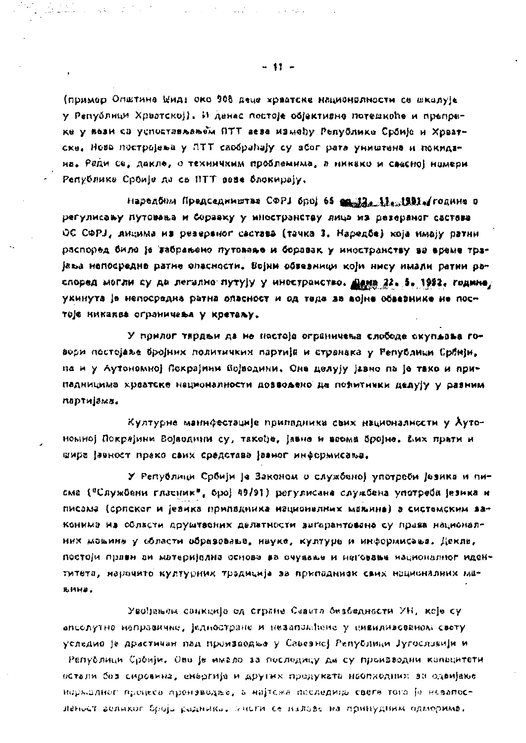(пример Општине Шид: око 908 деце храатске националности се школује у Републици Хрватској). И данас постоје објективне потешкоће и препреке у вези са успостављањем ПТТ веза између Републике Србије и Хрватске, Нова постројења у ПТТ саобраћају су због рата уништена и покидана. Ради се, дакле, о техничким проблемима, а никако и свесној намери Републике Србија да се ВТТ веза блокирају.

наредбом Председништва СФРЈ број 66 <u>ев. 13. 11. 1291</u>. године о регулисању путовања и боравку у мностранству яица из резервног састава ОС СФРЈ, лицима на резераног састава (тачка 3. Наредбе) која имају ратни распоред било је забрањено путовање и боравак у иностранству ва време трајања непосредне ратне опасности. Војни обвезници који нису имали ратни распоред могли су да легално путују у инестранство. Дана 22. 5. 1992. године/ укинута је непосредна ратна опасност и од теда за војне обвезнике не постоје никаква ограничења у кретаљу.

У прилог тврдњи да не нестоје огреничења слобода окупљања говори постојање бројних политичких партије и странака у Републици Србнји, па и у Аутономној Покрајини Војводини, Она делују јазно па је тако и припадницима храатске националности доввољено да потмтички делују у разним партијама.

Културне маннфестације припадника свих националиссти у Аутономној Покрајини Војводини су, такеђе, јавне и веома бројне, фих прати и шира јавност преко саих средстава јазног информисања.

У Републици Србији је Законом о службаној употреби језика и писма ("Службени гласник", број 49/91) регулисана службена употреба језика и писама (српског и језика припадника националних маљина) а системским законима на области друштасних делатности выгарантована су прыва националних моњина у области образовање, науке, културе и информисање. Декле, постоји првен ви материјална основа ва очување и неговање изционалног идентитета, нарочито културних традиција за припадниек санх националних мањИН#.

Увођењам санкција од стране Сваета безбедности УН, које су апсолутно неправично, једностране и незапамічно у цивилявованом своту уследио је драстичан пад производње у Савезној Републици Југославији и Републици Србији, Ово је имало за последицу да су производни копљцитети остали без сировина, енергије и других продуката неопходних за одвијање норкалног процеса производње, а најтежа последица свега тога је назапосленост великог броја радника. Унсти се налове на принудини одморима.

 $-11 -$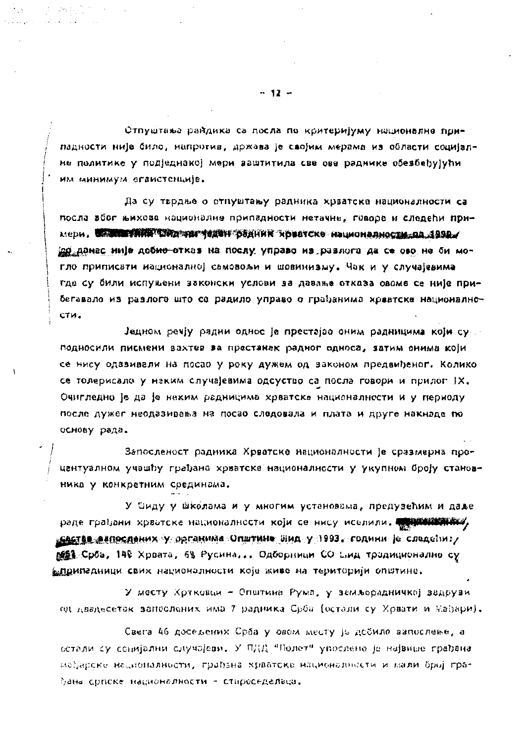Отпуштиња райдика са посла по критеријуму националне припадности није било, напротив, држава је својим мерама из области социјалне политико у подједнакој мери заштитила све ове раднике обезбеђујући им минимум огаистенције.

Да су тврдње о отпуштању радника хрватске националности са посла вбог њихова националне припадности нетачне, говоре и следећи примери. В ЗАНЕТИИ ТЕКАТИ ТЕХЕН САДА ВИЛИЯ Храстске националности па 1992. јад данас није доб<del>ио о</del>тказ на послу управо из разлога да се ово не би могло приписати националној самовољи и шовинизму. Чак и у случајевима гда су били испуњени законски услови за давање отказа овоме се није прибегавало из разлога што се радило управо о грађанима хрватска национално-CTH.

Једном речју радни однос је престајао оним радницима који су г подносили писмени вахтев ва престанак радног односа, затим онима који се нису одавивали на посао у року дужем од законом предвиђеног. Колико се толерисало у неким случајевима одсуство са посла говори и прилог IX. Очигледно је да је неким радницима хрватске националности и у периоду после дужег неодазивања на посао следовала и плата и друге накнаде по основу рада.

Запосленост радника Хрватске националности је сразмерна процентуалном учашћу грађана хрватске националности у укупном броју становника у конкретним срединама.

У Сиду у школама и у многим установама, предузећим и даље раде грађани хрватске националности који се нису иселили. Таки и таки <u>"САСТАВ ФАПОСЛАНИХ У ОРГАНИМ</u>А ОПШТИНФ ШИД У 1993. години је следећи: / @@@}:Срба, 148 Хрвата, 68 Русина... Одборници СО Енд тродиционално су і <u>елр</u>ипадници свих националности које живе на територији општине.

У месту Хртковци – Општина Рума, у земљорадничкој задрузи од двадесетак запослених има 7 радника Срба (остали су Хрвати и Мађари).

Свега 46 досељених Срба у овом месту је добило вапослење, а остали су социјални случајеви. У ПДД "Полет" упослено је највише грађана мађарске националности, грађана хрватске националнести и мали број грађана српске националности - староседелвца.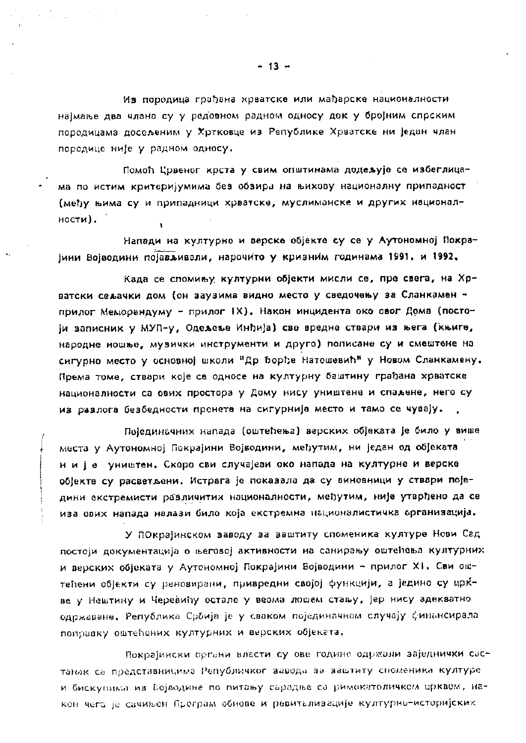Из породица грађана хрватске или мађарске националности најмање два члана су у редовном радном односу док у бројним спрским породицама досељеним у Хртковце из Републике Хрватске ни један члан поредице није у радном односу.

 $\label{eq:2.1} \mathcal{L}^{\mathcal{A}}(\mathcal{A}) = \frac{1}{2} \sum_{i=1}^n \mathcal{L}^{\mathcal{A}}(\mathcal{A}) \mathcal{L}^{\mathcal{A}}(\mathcal{A}) = \frac{1}{2} \sum_{i=1}^n \mathcal{L}^{\mathcal{A}}(\mathcal{A}) \mathcal{L}^{\mathcal{A}}(\mathcal{A}) = \frac{1}{2} \sum_{i=1}^n \mathcal{L}^{\mathcal{A}}(\mathcal{A}) \mathcal{L}^{\mathcal{A}}(\mathcal{A}) = \frac{1}{2} \sum_{i=1}^n \mathcal{L}^{\mathcal$ 

Помоћ Црвеног крста у свим општинама додељује се избеглицама по истим критеријумима без обзира на њихову националну припадност (међу њима су и припадници хрватске, муслиманске и других националности).

Напади на културне и верске објекте су се у Аутономној Покрајини Војводини појављивали, нарочито у кризним годинама 1991. и 1992.

Када се спомињу културни објекти мисли се, пре свега, на Хрватски сељачки дом (он заузима видно место у сведочењу за Сланкамен прилог Меморандуму - прилог IX). Након инцидента око овог Дома (постоји записник у МУП-у, Одељење Инђија) све вредне ствари из њега (књиге, народне ношње, музички инструменти и друго) пописане су и смештене на сигурно место у основној школи "Др Борђе Натошевић" у Новом Сланкамену. Према томе, ствари које се односе на културну баштину грађана хрватске националности са ових простора у Дому нису уништене и спаљене, него су из разлога безбедности пренете на сигурније место и тамо се чувају.

Појединачних напада (оштећења) верских објеката је било у више места у Аутономној Покрајини Војводини, међутим, ни један од објеката н и је уништен. Скоро сви случајеви око напада на културне и верске објекте су расветљени. Истрага је показала да су виновници у ствари поједини екстремисти различитих националности, међутим, није утврђено да се иза ових напада налази било која екстремна националистичка органивација.

У ПОкрајинском заводу за заштиту споменика културе Нови Сад постоји документација о његовој активности на санирању оштећења културних и верских објеката у Аутономној Покрајини Војводини - прилог XI. Сви оштећени објекти су реновирани, привредни својој функцији, а једино су црќве у Нештину и Черевићу остале у веома лошем стању, јер нису здекватно одржаване. Република Србија је у сваком појединачном случају финансирала поправку оштећених културних и верских објеката.

Покрајински органи власти су ове године одржали заједнички састанак са представницима Републичког завода за заштиту споменика културе и бискупима из Бојводине по питању сърадње са римокатоличком црквом, након чега је сачињен Програм обнове и ревитализације културно-историјских

 $-13 -$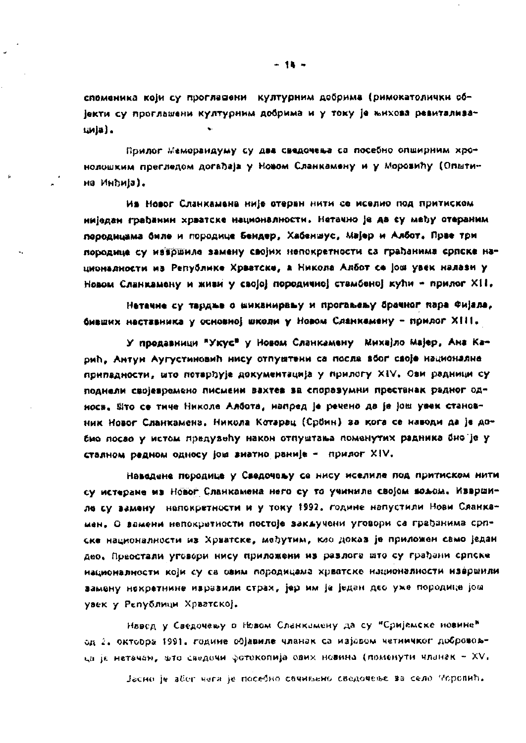споменика који су проглашени културним добрима (римокатолички објекти су проглашени културним добрима и у току је њихова ревиталивација).

Прилог Меморандуму су два сведочења са посебно опширним хронолошким прегледом догађаја у Новом Сланкамену и у Моровићу (Општина Инђија).

Ив Новог Сланкамена није отеран нити се иселио под притиском ниједан грађанин хрватске националности. Нетачно је да су међу отераним перодицама биле и породице Бендер, Хабеншус, Мајер и Албот. Прве три породице су навршиле замену својих непокретности са грађанима српске национадности на Републике Хрветске, а Никола Албот се још увек налази у Новом Сланкамену и живи у својеј поредичној стамбенеј кући - прилог XII.

Нетачне су тардње о шиканирању и прогаљењу брачног пара Фијала, бивших неставника у основној школи у Новом Сланкамену - прилог XIII.

У продавници \*Укус\* у Новом Сланкамену Киха)ло Мајер, Ана Карић, Антун Аугустиновић нису отпуштени са посла вбог своје националне припадности, што потарђује документација у прилогу XIV. Ови радници су поднели својевремено писмени вахтев за споразумни престанак радног односа, Ето се тиче Николе Албота, напред је речено да је још увек становник Новог Сланкамена. Никола Котарац (Србин) за кога се наводи да је добио посво у истом предувећу након отпуштања поменутих радника био је у стаяном редном односу још знатно раније - прилог XIV.

Наведене породице у Сведочању се нису иселиле под притиском нити су истеране из Новог Сланкамена него су то учиниле својом вољом. Извршиле су вамену непокретности и у току 1992. године напустили Нови Сланкамен. О вамени непократности постоје закључени уговори са грађанима српске националности из Хрватске, међутим, као доказ је приложен само један део, Преостали уговори нису приложени из разлога што су грађани српске националности који су са овим породицама хрватске националности извршили замену некретнине изразили страх, јер им је један део уже породице још увек у Републици Хрватској.

Навод у Сведочању в Новом Сланкамену да су "Сријемске новине" од 2. октобра 1991. године објавиле чланак са изјавом четничког добровољца је натачам, што сведочи фотокопија ових новина (поменути чланак - XV,

Јасно је абог чега је посебно сачињено сведочење за село Моровић.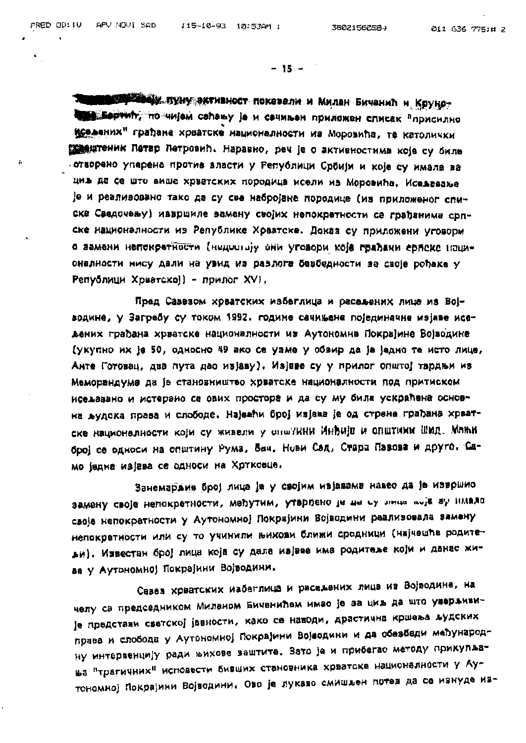í

ħ

 $-15 -$ 

**кар чесу. пуну эктивност показали и Милан Бичанић и Круно-Вертии, по чијем сећању је и сачињен приложен списак "присилно** иселених" грађана хрватске националности из Моровића, те католички **Ведештеник Петар Пет**ровић. Наравно, реч је о активностима које су биле отворено упарене против власти у Републици Србији и које су имале за циљ да се што више хрватских породица исели из Моровића. Исељавање је и реаливовано тако да су све набројане породице (из приложеног списка Сведочењу) извршиле замену својих непокретности са грађанима српске националности из Републике Хрватске. Доказ су приложени уговори о замени непокретности (недостају они уговори које грађани српско пационалности нису дали на увид из разлога безбедности за своје рођаке у Републици Хрватско]) - прилог XVI,

Пред Савезом хрватских избеглица и расељених лица из Војводине, у Загребу су током 1992. године сачињене појединачне изјаве исељених грађана хрватске националности из Аутономне Покрајине Војводине (укупно их је 50, односно 49 ако се узме у обзир да је једно те исто лице, Анте Готовац, два пута дао изјаву). Изјаве су у прилог општој тврдњи из Меморандума да је становништво хрватске националности под притиском исељавано и истерано са ових простора и да су му била ускраћена основна људска права и слободе. Највећи број изјава је од стране грађана хрватске националности који су живели у опш?ИНИ ИНВИјв и општини Шид. Мањи број се односи на општину Рума, Бач, Нови Сад, Стара Пазова и друго. Само једна изјава се односи на Хртковце.

Занемаржив број лица је у својим изјавама навео да је извршио замену своје непокретности, међутим, утвррено је да су лица љоја ау идело своје непокретности у Аутономној Локрајини Војводини реализовала замену непокретности или су то учинили њихови ближи сродници (најчешће родитеьи). Известан број лица која су дала изјаве има родитеље који и данас живе у Аутономној Покрајини Војводини.

Савез хрватских избеглица и расељених лица из Војводине, на челу са председником Миланом Бичанићем имао је за циљ да што уверљивије представи светској јавности, како се наводи, драстична кршења људских права и слобода у Аутономној Покрајини Војводини и да обезбади међународну интервенцију ради њихове заштите. Зато је и прибегао методу прикупљања "трагичних" исповести бивших становника хрватске националности у Аутономној Покрајини Војводини. Ово је лукаво смишљен потез да се изнуде из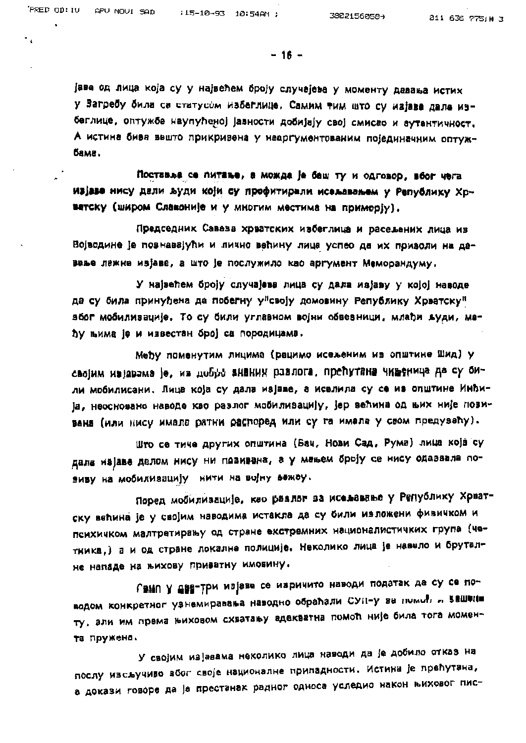$\cdot$ 

 $-16 -$ 

јава од лица која су у највећем броју случајева у моменту давања истих у Загребу била са статусом избеглице. Самим тим што су изјаве дале избеглице, оптужбе наупућеној јавности добијају свој смисао и аутентичност. А истина бива вешто прикривена у неаргументованим појединачним оптужбама.

Поставља се питање, а можда је баш ту и одговор, воог чега изјаве нису дали људи који су профитирали исељавањем у Републику Хрватску (широм Славоније и у многим местима на приморју).

Председник Савеза хрватских избеглица и расељених лица из Војводине је познавајући и лично већину лица успео да их приволи на давање лажне изјаве, а што је послужило као аргумент Меморандуму.

У највећем броју случајева лица су дала изјаву у којој наводе да су била принуђена да побегну у"своју домовину Републику Хрватску" због мобилизације. То су били углавном војни обвезници, млађи људи, меду њима је и известан број са породицама.

Меру поменутим лицима (рецимо исељеним из општине шид) у својим изјавама је, из добро знаних разлога, препутана чињеница да су оили мобилисани. Лица која су дала изјаве, а иселила су се из општине ИНПИја, неосновано наводе као разлог мобилизацију, јер већина од њих није позивана (или нису имала ратни распоред или су га имала у свом предувалу).

Што се тиче других општина (Бач, Нови Сад, Рума) лица која су дала изјаве делом нису ни позивана, а у мањем броју се нису одазвала позиву на мобилизацију нити на војну љежеу.

Поред мобилизације, као разлог за исељавање у Републику Хрватску већина је у својим наводима истакла да су били изложени физичком и психичком малтретирању од стране екстремних националистичких група (четника,) а и од стране локалне полиције. Неколико лица је навело и бруталне нападе на њихову приватну имовину.

Гамп у две-три изјаве се изричито наводи податак да су се поводом конкретног узнемиравања наводно обраћали СУП-у за помоћ " Зашлин ту, али им према њиховом схватању адекватна помоћ није била тога момента пружена.

У својим изјавама неколико лица наводи да је добило отказ на послу изсључиво због своје националне припадности. Истина је прећутана, а докази говоре да је престанак радног односа уследио након њиховог пис-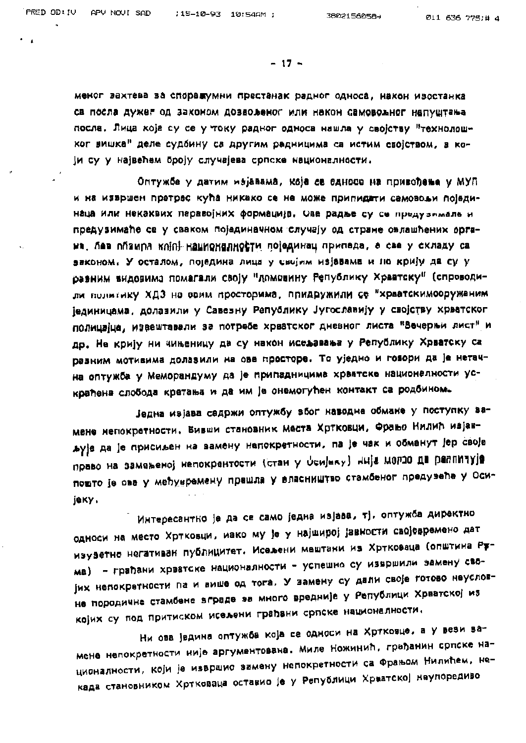$-17 -$ 

меног захтева за споражумни престанак радног односа, након изостанка са посла дужег од законом дозвољеног или након самовољног напуштања посла. Лица која су се у току радног односа нашла у својству "технолошког вишка" деле судбину са другим радницима са истим својством, а који су у највећем броју случајева српске националности.

Оптужбе у датим изјавама, које се односе на привођење у МУП и на извршен претрес кућа никако се не може припидати самовољи појединаца или некаквих паравојних формација, Ове радње су се предузимале и предузимаће се у сваком појадиначном случају од стране овлашћених органа. без обаира којој националности појединац припада, а све у складу са законом. У осталом, поједина лица у својим изјавама и но крију да су у разним видовима помагали своју "домовину Републику Хрватску" (спроводили волитику ХДЗ на овим просторима, придружили се "хрватскимооружаним јединицама, долазили у Савезну Републику Југославију у својству хрватског полицајца, извештавали за потребе хрватског дневног листа "Вечерњи лист" и др. Не крију ни чињеницу да су након исељавања у Републику Хрватску са разним мотивима долазили на ове просторе. То уједно и говори да је нетачна оптужба у Меморандуму да је припадницима хрватске националности ускраћена слобода кретања и да им је онемогућен контакт са родбином.

једна изјава садржи оптужбу због наводне обмане у поступку замене непокретности. Бивши становник места Хртковци, Фрањо Нилић изјављује да је присиљен на замену непокретности, па је чак и обманут јер своје право на замењеној непокрентости (стан у Ссијеку) НИја МОГОО ДЕ РАЛПИЧУјА пошто је ова у међунремену прашла у власништво стамбеног предувећа у Осиjeky.

Интересантно је да се само једна изјава, тј. оптужба директно односи на место Хртковци, иако му је у најширој јавности својевремено дат изузетно негативан публицитет. Исељени мештани из Хртковаца (општина Ррма) - грађани хрватске националности - успешно су извршили замену својих непокретности па и више од тога. У замену су дали своје готово наусловне породичне стамбене вграде за много вредније у Републици Хрватској из којих су под притиском исељени грађани српске националности.

Ни ова једина оптужба која се односи на Хртковце, а у вези замене непокретности није аргументована. Миле Ножинић, грађанин српске националности, који је извршио замену непокретности са Фрањом Нилићем, некада становником Хртковаца оставио је у Републици Хрватској наупоредиво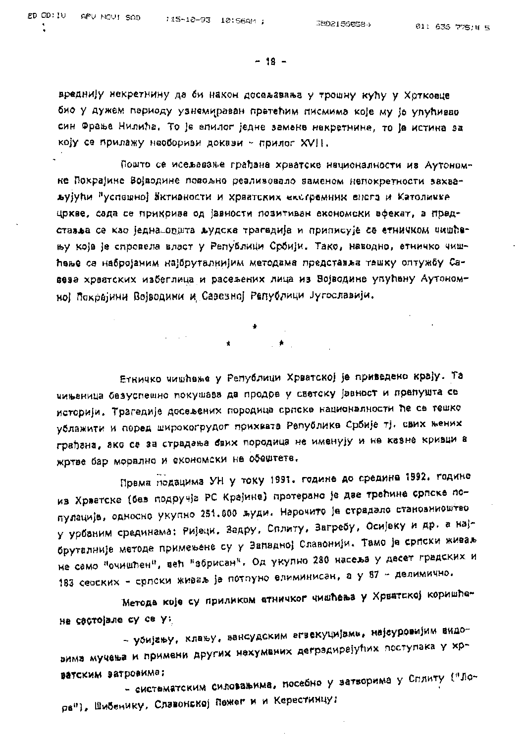$-18 -$ 

вреднију некретнину да би након досељавања у трошну кућу у Хртковце био у дужем периоду узнемираван претећим писмима које му је упућивао син Фрање Нилића. То је епилог једне замене некретнине, то је истина за коју се прилажу наобориви докази ~ прилог XVII.

Пошто се исељавање грађана хрватске националности ив Аутономне Покрајине Војводине повољно реаливовало заменом непокретности захваљујући "успешној активности и хрватских екстремних енага и Католичке" цркве, сада се прикрива од јавности позитиван економски ефекат, а прадставља се као једна општа људска трагедија и приписује се етничком чишћењу које је спровела власт у Републици Србији. Тако, наводно, етничко чишћење са набројаним најбруталнијим методама представља тешку оптужбу Савеза хрватских избеглица и расељених лица из Војводине упућену Аутономној Покрајини Војводини и Савезној Републици Југославији.

> $\mathcal{L}^{\text{max}}_{\text{max}}$  ,  $\mathcal{R}^{\text{max}}_{\text{max}}$  $\star$

Етничко чишћење у Републици Хрватској је приведено крају. Та чињеница безуспешно покушава да продре у светску јавност и препушта се историји. Трагедије досељених породица српске националности ће се тешко ублажити и поред широкогрудог прихвата Републике Србије тј. свих њених грађана, ако се за страдања бвих породица не именују и не казне кривци а жртве бар морално и економски не обештете.

Према подацима УН у току 1991. године до средине 1992. године из Хрватске (без подручја РС Крајине) протерано је две трећине српске популације, односно укупно 251.000 људи. Нарочито је страдало становниоштво у урбаним срединама: Ријеци, Задру, Сплиту, Загребу, Осијеку и др. а најбруталније методе примењене су у Западној Славонији. Тамо је српски живаљ не само "очишћен", већ "збрисан". Од укупно 280 насеља у десет градских и 183 сеоских - српски живаљ је потпуно елиминисан, а у 87 - делимично.

Метода које су приликом атничког чишћења у Хрватској коришћена састојале су се у:

- убијању, клању, вансудским егзекуцијама, најсуровијим видовима мучења и примени других нехумених деградирајућих поступака у хрватским ватровима;

- систематским силовањима, посебно у затворима у Сплиту ("Лора"), Шибенику, Славонској Пежег и и Керестинцу;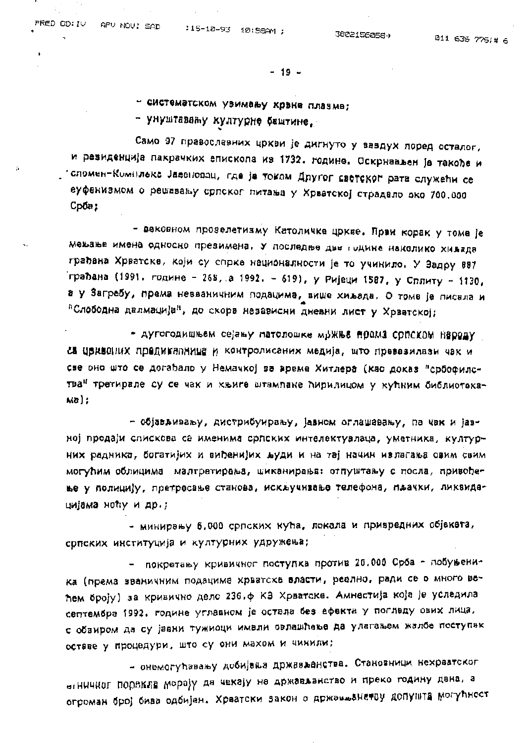$-19 -$ 

- систематском узимању крвне плазме;

- унуштавању културне баштине,

Само 97 православних цркви је дигнуто у вавдух поред осталог, и резиденција пакрачких епископа из 1732. године. Оскрнављен је такође и стомен-Комплекс Јассповоц, где је током Другог светског рата служећи се еуфенизмом о решавању српског питања у Хрватској страдало око 700.000 Срба;

- вековном прозелетизму Католичка цркве. Први корак у тома је мењање имена односно презимена. У последње две године наколико хиљада грађана Хрватске, који су спрке националности је то учинило. У Задру 887 грађана (1991. године - 268, а 1992. - 619), у Ријеци 1587, у Сплиту - 1130, а у Загребу, према незваничним подацима, више хиљада. О томе је писала и "Слободна далмација", до скора независни дневни лист у Хрватској;

- дугогодишњем сејању патолошке мржње према српском народу са црквених предикалница и контролисаних медија, што превазилази чак и све оно што се догађало у Немачкој за време Хитлера (као доказ "србофилства" третирале су се чак и књиге штампане ћирилицом у кућним библиотека-Ka) ;

- објављивању, дистрибуирању, јавном оглашавању, па чак и јавној продаји спискова са именима српских интелектуалаца, уметника, културних радника, богатијих и виђенијих људи и на тај начин излагања овим свим могућим облицима малтретирања, шиканирања: отпуштању с посла, привођење у полицију, претресање станова, искључивање телефона, пљачки, ликвидацијама ноћу и др.;

- минирању 6.000 српских кућа, локала и привредних објеката, српских институција и културних удружења;

- покретању кривичног поступка против 20.000 Срба - побуњеника (према вваничним подацима хрватске власти, реално, ради се о много већем броју) за кривично дело 236.ф КЗ Хрватске. Амнестија која је уследила септембра 1992. године углавном је остала без ефекта у погледу ових лица, с обзиром да су јавни тужиоци имали овлашћење да улагањем жалбе поступак оставе у процедури, што су они махом и чинили;

- онемогућавању добијања држављанства. Становници нехрватског втничког порекла морају да чекају на држављанство и преко годину дана, а огроман број бива одбијен. Хрватски закон о држављанатву допушта могућност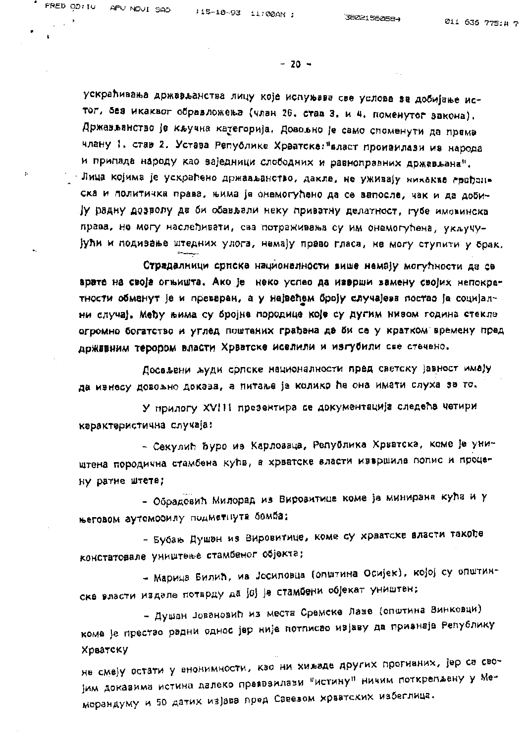ţ.

 $-20 -$ 

ускраћивања држављанства лицу које испуњава све услове за добијање истог, без икаквог образложења (члан 26. став 3. и 4. поменутог закона). Држављанство је кључна категорија. Довољно је само споменути да према члану 1. став 2. Устава Републике Хрватске: "власт произилази из народа и припада народу као заједници слободних и равкоправних држављана". Инца којима је ускраћено држављанство, дакле, не уживају никаква грађанска и политичка права, њима је онемогућено да се запосле, чак и да добију радну дозволу да би обављали неку приватну делатност, губе имовинска права, не могу наслеђивати, сва потраживања су им онемогућена, укључујући и подизање штедних улога, немају право гласа, не могу ступити у брак.

Страдалници српске националности више немају могућности да се врате на своја огњишта. Ако је неко успео да изврши замену својих непокретности обманут је и преварен, а у највећем броју случајева постао је социјални случај. Међу њима су бројне породице које су дугим низом година стекле огромно богатство и углед поштених грађана да би се у кратком времену пред државним терором власти Хрватске иселили и изгубили све стечено.

Досељени људи српске националности пред светску јавност имају да изнесу довољно доказа, а питање је колико ће она имати слуха за то.

У прилогу XVIII презентира се документација следећа четири карактеристична случаја:

- Секулић ћуро из Карловаца, Република Хрватска, коме је уништена породична стамбена кућа, а хрватске власти извршиле попис и процену ратне штете;

- Обрадовић Милорад из Вировитице коме је минирана кућа и у његовом аутомобилу подметнута бомба;

- Бубањ Душан из Вировитице, коме су хрватске власти такође констатовале уништење стамбеног објекта;

- Марица Билић, из Јосиповца (општина Осијек), којој су општинске власти издале потврду да јој је стамбени објекат уништен;

- Душан Јовановић из места Сремске Лазе (општина Винковци) коме је престао радни однос јер није потписао изјаву да признаје Републику Хрватску

не смеју остати у анонимности, кво ни хиљаде других прогнаних, јер са својим доказима истина далеко преввзилази "истину" ничим поткрепљену у Меморандуму и 50 датих изјава пред Савезом хрватских избеглица.